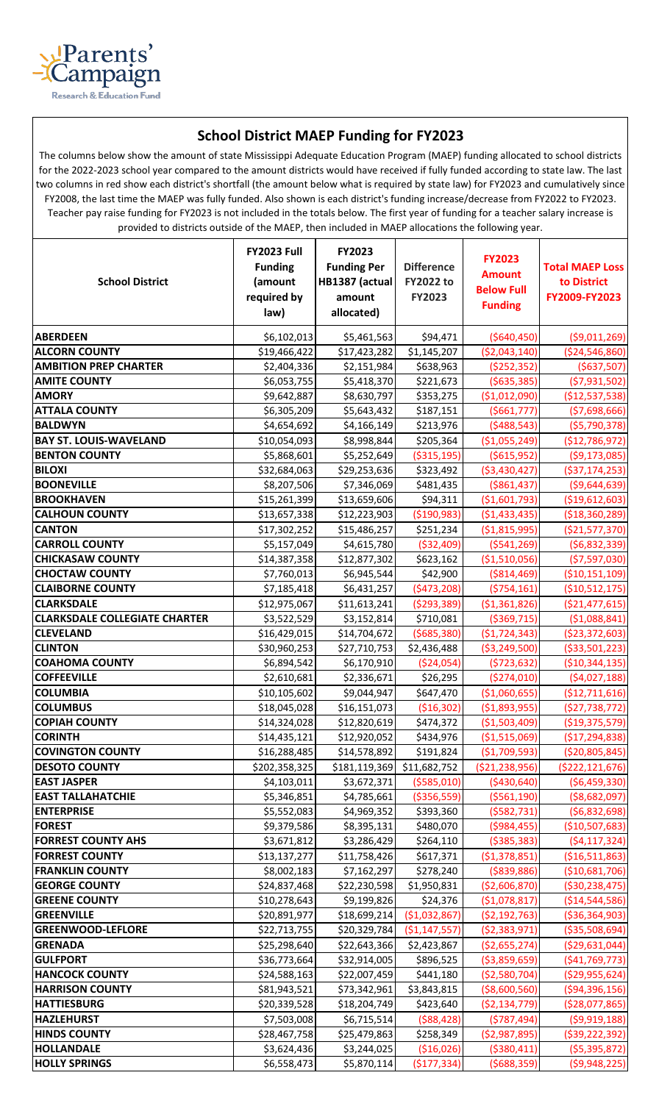

## **School District MAEP Funding for FY2023**

The columns below show the amount of state Mississippi Adequate Education Program (MAEP) funding allocated to school districts for the 2022-2023 school year compared to the amount districts would have received if fully funded according to state law. The last two columns in red show each district's shortfall (the amount below what is required by state law) for FY2023 and cumulatively since FY2008, the last time the MAEP was fully funded. Also shown is each district's funding increase/decrease from FY2022 to FY2023. Teacher pay raise funding for FY2023 is not included in the totals below. The first year of funding for a teacher salary increase is provided to districts outside of the MAEP, then included in MAEP allocations the following year.

| <b>School District</b>                          | <b>FY2023 Full</b><br><b>Funding</b><br>(amount<br>required by<br>law) | FY2023<br><b>Funding Per</b><br>HB1387 (actual)<br>amount<br>allocated) | <b>Difference</b><br><b>FY2022 to</b><br>FY2023 | <b>FY2023</b><br><b>Amount</b><br><b>Below Full</b><br><b>Funding</b> | <b>Total MAEP Loss</b><br>to District<br>FY2009-FY2023 |
|-------------------------------------------------|------------------------------------------------------------------------|-------------------------------------------------------------------------|-------------------------------------------------|-----------------------------------------------------------------------|--------------------------------------------------------|
| <b>ABERDEEN</b>                                 | \$6,102,013                                                            | \$5,461,563                                                             | \$94,471                                        | ( \$640, 450)                                                         | ( \$9,011,269)                                         |
| <b>ALCORN COUNTY</b>                            | \$19,466,422                                                           | \$17,423,282                                                            | \$1,145,207                                     | ( \$2,043,140)                                                        | ( \$24, 546, 860)                                      |
| <b>AMBITION PREP CHARTER</b>                    | \$2,404,336                                                            | \$2,151,984                                                             | \$638,963                                       | (\$252,352)                                                           | ( \$637, 507)                                          |
| <b>AMITE COUNTY</b>                             | \$6,053,755                                                            | \$5,418,370                                                             | \$221,673                                       | ( \$635, 385)                                                         | (57, 931, 502)                                         |
| <b>AMORY</b>                                    | \$9,642,887                                                            | \$8,630,797                                                             | \$353,275                                       | (\$1,012,090)                                                         | (\$12,537,538)                                         |
| <b>ATTALA COUNTY</b>                            | \$6,305,209                                                            | \$5,643,432                                                             | \$187,151                                       | ( \$661, 777)                                                         | ( \$7,698,666)                                         |
| <b>BALDWYN</b>                                  | \$4,654,692                                                            | \$4,166,149                                                             | \$213,976                                       | ( \$488, 543)                                                         | ( \$5,790,378)                                         |
| <b>BAY ST. LOUIS-WAVELAND</b>                   | \$10,054,093                                                           | \$8,998,844                                                             | \$205,364                                       | ( \$1,055,249)                                                        | (\$12,786,972)                                         |
| <b>BENTON COUNTY</b>                            | \$5,868,601                                                            | \$5,252,649                                                             | ( \$315, 195)                                   | ( \$615, 952)                                                         | ( \$9,173,085)                                         |
| <b>BILOXI</b>                                   | \$32,684,063                                                           | \$29,253,636                                                            | \$323,492                                       | ( \$3,430,427)                                                        | ( \$37,174,253)                                        |
| <b>BOONEVILLE</b>                               | \$8,207,506                                                            | \$7,346,069                                                             | \$481,435                                       | ( \$861, 437)                                                         | ( \$9,644,639)                                         |
| <b>BROOKHAVEN</b>                               | \$15,261,399                                                           | \$13,659,606                                                            | \$94,311                                        | ( \$1,601,793)                                                        | (\$19,612,603)                                         |
| <b>CALHOUN COUNTY</b>                           | \$13,657,338                                                           | \$12,223,903                                                            | ( \$190, 983)                                   | (\$1,433,435)                                                         | ( \$18, 360, 289)                                      |
| <b>CANTON</b>                                   | \$17,302,252                                                           | \$15,486,257                                                            | \$251,234                                       | ( \$1,815,995)                                                        | ( \$21,577,370)                                        |
| <b>CARROLL COUNTY</b>                           | \$5,157,049                                                            | \$4,615,780                                                             | ( \$32,409)                                     | ( \$541, 269)                                                         | (56,832,339)                                           |
| <b>CHICKASAW COUNTY</b>                         | \$14,387,358                                                           | \$12,877,302                                                            | \$623,162                                       | ( \$1,510,056)                                                        | ( \$7,597,030)                                         |
| <b>CHOCTAW COUNTY</b>                           | \$7,760,013                                                            | \$6,945,544                                                             | \$42,900                                        | ( \$814, 469)                                                         | ( \$10, 151, 109)                                      |
| <b>CLAIBORNE COUNTY</b>                         | \$7,185,418                                                            | \$6,431,257                                                             | (\$473,208)                                     | ( \$754, 161)                                                         | ( \$10,512,175)                                        |
| <b>CLARKSDALE</b>                               | \$12,975,067                                                           | \$11,613,241                                                            | ( \$293, 389)                                   | ( \$1,361,826)                                                        | ( \$21,477,615)                                        |
| <b>CLARKSDALE COLLEGIATE CHARTER</b>            | \$3,522,529                                                            | \$3,152,814                                                             | \$710,081                                       | ( \$369, 715)                                                         | ( \$1,088,841)                                         |
| <b>CLEVELAND</b>                                | \$16,429,015                                                           | \$14,704,672                                                            | ( \$685, 380)                                   | ( \$1,724,343)                                                        | ( \$23, 372, 603)                                      |
| <b>CLINTON</b>                                  | \$30,960,253                                                           | \$27,710,753                                                            | \$2,436,488                                     | ( \$3, 249, 500)                                                      | ( \$33,501,223)                                        |
| <b>COAHOMA COUNTY</b>                           | \$6,894,542                                                            | \$6,170,910                                                             | ( \$24,054)                                     | ( \$723, 632)                                                         | ( \$10, 344, 135)                                      |
| <b>COFFEEVILLE</b>                              | \$2,610,681                                                            | \$2,336,671                                                             | \$26,295                                        | (\$274,010)                                                           | (54,027,188)                                           |
| <b>COLUMBIA</b>                                 | \$10,105,602                                                           | \$9,044,947                                                             | \$647,470                                       | (\$1,060,655)                                                         | (\$12,711,616)                                         |
| <b>COLUMBUS</b>                                 | \$18,045,028                                                           | \$16,151,073                                                            | ( \$16, 302)                                    | ( \$1,893,955)                                                        | (\$27,738,772)                                         |
| <b>COPIAH COUNTY</b>                            | \$14,324,028                                                           | \$12,820,619                                                            | \$474,372                                       | (51,503,409)                                                          | ( \$19,375,579)                                        |
| <b>CORINTH</b>                                  | \$14,435,121                                                           | \$12,920,052                                                            | \$434,976                                       | ( \$1,515,069)                                                        | (\$17,294,838)                                         |
| <b>COVINGTON COUNTY</b>                         | \$16,288,485                                                           | \$14,578,892                                                            | \$191,824                                       | ( \$1,709,593)                                                        | ( \$20, 805, 845)                                      |
| <b>DESOTO COUNTY</b>                            | \$202,358,325                                                          | \$181,119,369                                                           | \$11,682,752                                    | (\$21,238,956)                                                        | ( \$222, 121, 676)                                     |
| <b>EAST JASPER</b>                              | \$4,103,011                                                            | \$3,672,371                                                             | ( \$585,010)                                    | ( \$430, 640)                                                         | (56, 459, 330)                                         |
| <b>EAST TALLAHATCHIE</b>                        | \$5,346,851                                                            | \$4,785,661                                                             | ( \$356, 559)                                   | ( \$561, 190)                                                         | ( \$8,682,097)                                         |
| <b>ENTERPRISE</b>                               | \$5,552,083                                                            | \$4,969,352                                                             | \$393,360                                       | ( \$582, 731)                                                         | ( \$6,832,698)                                         |
| <b>FOREST</b>                                   | \$9,379,586                                                            | \$8,395,131                                                             | \$480,070                                       | ( \$984, 455)                                                         | ( \$10,507,683)                                        |
| <b>FORREST COUNTY AHS</b>                       | \$3,671,812                                                            | \$3,286,429                                                             | \$264,110                                       | ( \$385, 383)                                                         | (54, 117, 324)                                         |
| <b>FORREST COUNTY</b>                           | \$13,137,277                                                           | \$11,758,426                                                            | \$617,371                                       | (51, 378, 851)                                                        | ( \$16,511,863)                                        |
| <b>FRANKLIN COUNTY</b>                          | \$8,002,183                                                            | \$7,162,297                                                             | \$278,240                                       | ( \$839, 886)                                                         | ( \$10,681,706)                                        |
| <b>GEORGE COUNTY</b>                            | \$24,837,468                                                           | \$22,230,598                                                            | \$1,950,831                                     | ( \$2,606,870)                                                        | ( \$30, 238, 475)                                      |
| <b>GREENE COUNTY</b>                            | \$10,278,643                                                           | \$9,199,826                                                             | \$24,376                                        | ( \$1,078,817)                                                        | ( \$14, 544, 586)                                      |
| <b>GREENVILLE</b>                               | \$20,891,977                                                           | \$18,699,214                                                            | ( \$1,032,867)                                  | ( \$2,192,763)                                                        | ( \$36, 364, 903)                                      |
| <b>GREENWOOD-LEFLORE</b>                        | \$22,713,755                                                           | \$20,329,784                                                            | ( \$1,147,557)                                  | (52, 383, 971)                                                        | ( \$35,508,694)                                        |
| <b>GRENADA</b>                                  | \$25,298,640                                                           | \$22,643,366                                                            | \$2,423,867                                     | (\$2,655,274)                                                         | ( \$29,631,044)                                        |
| <b>GULFPORT</b>                                 | \$36,773,664                                                           | \$32,914,005                                                            | \$896,525                                       | ( \$3,859,659)                                                        | ( \$41,769,773)                                        |
| <b>HANCOCK COUNTY</b><br><b>HARRISON COUNTY</b> | \$24,588,163                                                           | \$22,007,459                                                            | \$441,180                                       | (\$2,580,704)                                                         | ( \$29,955,624)                                        |
|                                                 | \$81,943,521                                                           | \$73,342,961                                                            | \$3,843,815                                     | ( \$8,600,560)                                                        | ( \$94, 396, 156)                                      |
| <b>HATTIESBURG</b><br><b>HAZLEHURST</b>         | \$20,339,528                                                           | \$18,204,749                                                            | \$423,640                                       | ( \$2,134,779)                                                        | ( \$28,077,865)                                        |
| <b>HINDS COUNTY</b>                             | \$7,503,008                                                            | \$6,715,514                                                             | ( \$88,428)                                     | (5787, 494)                                                           | ( \$9,919,188)                                         |
| HOLLANDALE                                      | \$28,467,758                                                           | \$25,479,863                                                            | \$258,349                                       | ( \$2,987,895)                                                        | ( \$39, 222, 392)                                      |
| <b>HOLLY SPRINGS</b>                            | \$3,624,436                                                            | \$3,244,025                                                             | ( \$16,026)                                     | ( \$380, 411)                                                         | ( \$5,395,872)                                         |
|                                                 | \$6,558,473                                                            | \$5,870,114                                                             | ( \$177, 334)                                   | (5688, 359)                                                           | (59,948,225)                                           |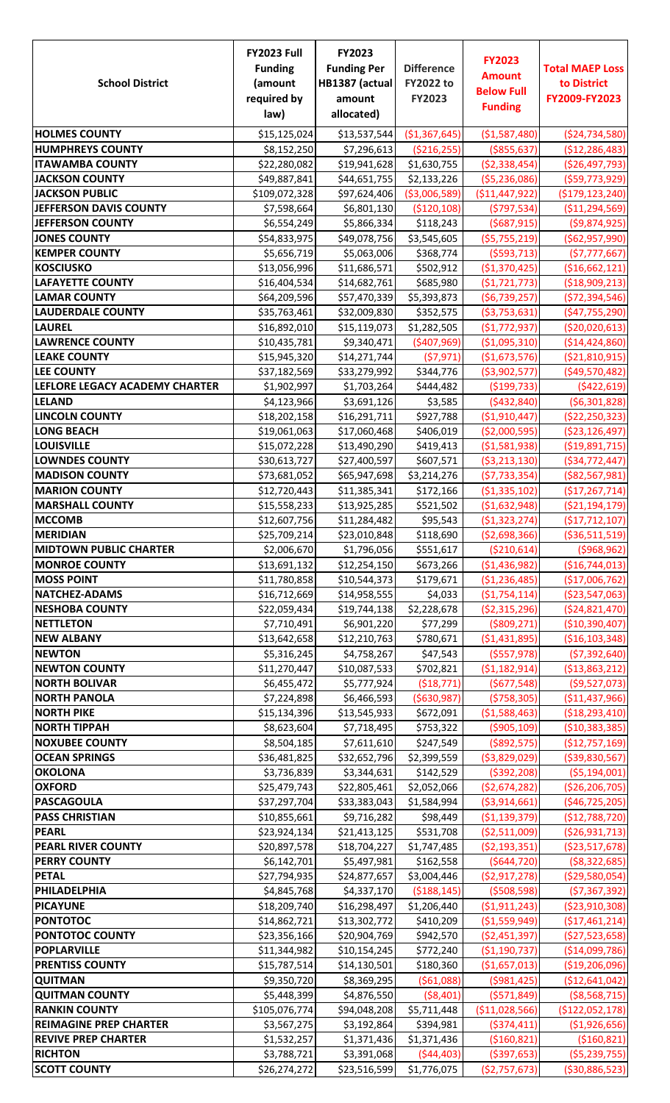| <b>School District</b>                     | <b>FY2023 Full</b><br><b>Funding</b><br>(amount<br>required by<br>law) | <b>FY2023</b><br><b>Funding Per</b><br>HB1387 (actual<br>amount<br>allocated) | <b>Difference</b><br><b>FY2022 to</b><br>FY2023 | <b>FY2023</b><br><b>Amount</b><br><b>Below Full</b><br><b>Funding</b> | <b>Total MAEP Loss</b><br>to District<br>FY2009-FY2023 |
|--------------------------------------------|------------------------------------------------------------------------|-------------------------------------------------------------------------------|-------------------------------------------------|-----------------------------------------------------------------------|--------------------------------------------------------|
| <b>HOLMES COUNTY</b>                       | \$15,125,024                                                           | \$13,537,544                                                                  | (\$1,367,645)                                   | (\$1,587,480)                                                         | ( \$24, 734, 580)                                      |
| <b>HUMPHREYS COUNTY</b>                    | \$8,152,250                                                            | \$7,296,613                                                                   | ( \$216, 255)                                   | ( \$855, 637)                                                         | (\$12,286,483)                                         |
| <b>ITAWAMBA COUNTY</b>                     | \$22,280,082                                                           | \$19,941,628                                                                  | \$1,630,755                                     | ( \$2,338,454)                                                        | ( \$26,497,793)                                        |
| <b>JACKSON COUNTY</b>                      | \$49,887,841                                                           | \$44,651,755                                                                  | \$2,133,226                                     | ( \$5,236,086)                                                        | ( \$59,773,929)                                        |
| <b>JACKSON PUBLIC</b>                      | \$109,072,328                                                          | \$97,624,406                                                                  | ( \$3,006,589)                                  | ( \$11,447,922)                                                       | ( \$179, 123, 240)                                     |
| JEFFERSON DAVIS COUNTY                     | \$7,598,664                                                            | \$6,801,130                                                                   | ( \$120, 108)                                   | (5797,534)                                                            | ( \$11, 294, 569)                                      |
| <b>JEFFERSON COUNTY</b>                    | \$6,554,249                                                            | \$5,866,334                                                                   | \$118,243                                       | (5687, 915)                                                           | ( \$9,874,925)                                         |
| <b>JONES COUNTY</b>                        | \$54,833,975                                                           | \$49,078,756                                                                  | \$3,545,605                                     | ( \$5,755,219)                                                        | ( \$62, 957, 990)                                      |
| <b>KEMPER COUNTY</b>                       | \$5,656,719                                                            | \$5,063,006                                                                   | \$368,774                                       | ( \$593, 713)                                                         | (57, 777, 667)                                         |
| <b>KOSCIUSKO</b>                           | \$13,056,996                                                           | \$11,686,571                                                                  | \$502,912                                       | ( \$1,370,425)                                                        | ( \$16,662,121]                                        |
| <b>LAFAYETTE COUNTY</b>                    | \$16,404,534                                                           | \$14,682,761                                                                  | \$685,980                                       | (51, 721, 773)                                                        | ( \$18,909,213)                                        |
| <b>LAMAR COUNTY</b>                        | \$64,209,596                                                           | \$57,470,339                                                                  | \$5,393,873                                     | (56, 739, 257)                                                        | ( \$72, 394, 546)                                      |
| <b>LAUDERDALE COUNTY</b>                   | \$35,763,461                                                           | \$32,009,830                                                                  | \$352,575                                       | ( \$3,753,631)                                                        | ( \$47,755,290)                                        |
| <b>LAUREL</b>                              | \$16,892,010                                                           | \$15,119,073                                                                  | \$1,282,505                                     | (51, 772, 937)                                                        | ( \$20,020,613)                                        |
| <b>LAWRENCE COUNTY</b>                     | \$10,435,781                                                           | \$9,340,471                                                                   | ( \$407, 969)                                   | ( \$1,095,310)                                                        | ( \$14,424,860)                                        |
| <b>LEAKE COUNTY</b>                        | \$15,945,320                                                           | \$14,271,744                                                                  | (57, 971)                                       | (\$1,673,576)                                                         | ( \$21, 810, 915)                                      |
| <b>LEE COUNTY</b>                          | \$37,182,569                                                           | \$33,279,992                                                                  | \$344,776                                       | ( \$3,902,577)                                                        | ( \$49,570,482)                                        |
| LEFLORE LEGACY ACADEMY CHARTER             | \$1,902,997                                                            | \$1,703,264                                                                   | \$444,482                                       | ( \$199, 733)                                                         | ( \$422, 619]                                          |
| <b>LELAND</b>                              | \$4,123,966                                                            | \$3,691,126                                                                   | \$3,585                                         | ( \$432, 840)                                                         | (56,301,828)                                           |
| <b>LINCOLN COUNTY</b>                      | \$18,202,158                                                           | \$16,291,711                                                                  | \$927,788                                       | ( \$1,910,447)                                                        | ( \$22, 250, 323)                                      |
| <b>LONG BEACH</b>                          | \$19,061,063                                                           | \$17,060,468                                                                  | \$406,019                                       | ( \$2,000,595)                                                        | ( \$23, 126, 497)                                      |
| <b>LOUISVILLE</b>                          | \$15,072,228                                                           | \$13,490,290                                                                  | \$419,413                                       | ( \$1,581,938)                                                        | ( \$19,891,715)                                        |
| <b>LOWNDES COUNTY</b>                      | \$30,613,727                                                           | \$27,400,597                                                                  | \$607,571                                       | ( \$3, 213, 130)                                                      | ( \$34, 772, 447)                                      |
| <b>MADISON COUNTY</b>                      | \$73,681,052                                                           | \$65,947,698                                                                  | \$3,214,276                                     | (57, 733, 354)                                                        | ( \$82, 567, 981)                                      |
| <b>MARION COUNTY</b>                       | \$12,720,443                                                           | \$11,385,341                                                                  | \$172,166                                       | ( \$1,335,102)                                                        | (\$17,267,714)                                         |
| <b>MARSHALL COUNTY</b>                     | \$15,558,233                                                           | \$13,925,285                                                                  | \$521,502                                       | ( \$1,632,948)                                                        | ( \$21,194,179)                                        |
| <b>MCCOMB</b>                              | \$12,607,756                                                           | \$11,284,482                                                                  | \$95,543                                        | ( \$1,323,274)                                                        | (\$17,712,107)                                         |
| <b>MERIDIAN</b>                            | \$25,709,214                                                           | \$23,010,848                                                                  | \$118,690                                       | ( \$2,698,366)                                                        | ( \$36,511,519)                                        |
| <b>MIDTOWN PUBLIC CHARTER</b>              | \$2,006,670                                                            | \$1,796,056                                                                   | \$551,617                                       | ( \$210, 614)                                                         | ( \$968, 962)                                          |
| <b>MONROE COUNTY</b>                       | \$13,691,132                                                           | \$12,254,150                                                                  | \$673,266                                       | ( \$1,436,982)                                                        | ( \$16, 744, 013)                                      |
| <b>MOSS POINT</b>                          | \$11,780,858                                                           | \$10,544,373                                                                  | \$179,671                                       | (\$1,236,485)                                                         | (\$17,006,762)                                         |
| <b>NATCHEZ-ADAMS</b>                       | \$16,712,669                                                           | \$14,958,555                                                                  | \$4,033                                         | ( \$1,754,114)                                                        | ( \$23,547,063)                                        |
| <b>NESHOBA COUNTY</b>                      | \$22,059,434                                                           | \$19,744,138                                                                  | \$2,228,678                                     | ( \$2,315,296)                                                        | ( \$24, 821, 470)                                      |
| <b>NETTLETON</b>                           | \$7,710,491                                                            | \$6,901,220                                                                   | \$77,299                                        | ( \$809, 271)                                                         | ( \$10, 390, 407)                                      |
| <b>NEW ALBANY</b>                          | \$13,642,658                                                           | \$12,210,763                                                                  | \$780,671                                       | ( \$1,431,895)                                                        | ( \$16, 103, 348)                                      |
| <b>NEWTON</b>                              | \$5,316,245                                                            | \$4,758,267                                                                   | \$47,543                                        | ( \$557, 978)                                                         | ( \$7,392,640)                                         |
| <b>NEWTON COUNTY</b>                       | \$11,270,447                                                           | \$10,087,533                                                                  | \$702,821                                       | ( \$1,182,914)                                                        | ( \$13,863,212)                                        |
| <b>NORTH BOLIVAR</b>                       | \$6,455,472                                                            | \$5,777,924                                                                   | (518, 771)                                      | (5677,548)                                                            | ( \$9,527,073)                                         |
| <b>NORTH PANOLA</b>                        | \$7,224,898                                                            | \$6,466,593                                                                   | ( \$630, 987)                                   | (5758, 305)                                                           | (\$11,437,966)                                         |
| <b>NORTH PIKE</b>                          | \$15,134,396                                                           | \$13,545,933                                                                  | \$672,091                                       | ( \$1,588,463)                                                        | ( \$18, 293, 410)                                      |
| <b>NORTH TIPPAH</b>                        | \$8,623,604                                                            | \$7,718,495                                                                   | \$753,322                                       | ( \$905, 109)                                                         | ( \$10, 383, 385)                                      |
| <b>NOXUBEE COUNTY</b>                      | \$8,504,185                                                            | \$7,611,610                                                                   | \$247,549                                       | ( \$892, 575)                                                         | (\$12,757,169)                                         |
| <b>OCEAN SPRINGS</b>                       | \$36,481,825                                                           | \$32,652,796                                                                  | \$2,399,559                                     | ( \$3,829,029)                                                        | ( \$39, 830, 567)                                      |
| <b>OKOLONA</b>                             | \$3,736,839                                                            | \$3,344,631                                                                   | \$142,529                                       | ( \$392, 208)                                                         | ( \$5,194,001)                                         |
| <b>OXFORD</b>                              | \$25,479,743                                                           | \$22,805,461                                                                  | \$2,052,066                                     | ( \$2,674,282)                                                        | (\$26,206,705)                                         |
| <b>PASCAGOULA</b><br><b>PASS CHRISTIAN</b> | \$37,297,704                                                           | \$33,383,043                                                                  | \$1,584,994                                     | ( \$3,914,661)                                                        | ( \$46, 725, 205)                                      |
| <b>PEARL</b>                               | \$10,855,661                                                           | \$9,716,282                                                                   | \$98,449                                        | ( \$1,139,379)                                                        | (\$12,788,720)                                         |
| <b>PEARL RIVER COUNTY</b>                  | \$23,924,134<br>\$20,897,578                                           | \$21,413,125<br>\$18,704,227                                                  | \$531,708<br>\$1,747,485                        | ( \$2,511,009)<br>(52, 193, 351)                                      | ( \$26, 931, 713)                                      |
| <b>PERRY COUNTY</b>                        | \$6,142,701                                                            | \$5,497,981                                                                   | \$162,558                                       | (5644, 720)                                                           | ( \$23,517,678)<br>( \$8,322,685)                      |
| <b>PETAL</b>                               | \$27,794,935                                                           | \$24,877,657                                                                  | \$3,004,446                                     | ( \$2, 917, 278)                                                      | (\$29,580,054)                                         |
| PHILADELPHIA                               | \$4,845,768                                                            | \$4,337,170                                                                   | ( \$188, 145)                                   | (5508, 598)                                                           | ( \$7,367,392)                                         |
| <b>PICAYUNE</b>                            | \$18,209,740                                                           | \$16,298,497                                                                  | \$1,206,440                                     | ( \$1, 911, 243)                                                      | ( \$23, 910, 308)                                      |
| <b>PONTOTOC</b>                            | \$14,862,721                                                           | \$13,302,772                                                                  | \$410,209                                       | ( \$1,559,949)                                                        | (\$17,461,214)                                         |
| PONTOTOC COUNTY                            | \$23,356,166                                                           | \$20,904,769                                                                  | \$942,570                                       | ( \$2,451,397)                                                        | ( \$27,523,658)                                        |
| <b>POPLARVILLE</b>                         | \$11,344,982                                                           | \$10,154,245                                                                  | \$772,240                                       | ( \$1,190,737)                                                        | ( \$14,099,786)                                        |
| <b>PRENTISS COUNTY</b>                     | \$15,787,514                                                           | \$14,130,501                                                                  | \$180,360                                       | ( \$1,657,013)                                                        | ( \$19, 206, 096)                                      |
| <b>QUITMAN</b>                             | \$9,350,720                                                            | \$8,369,295                                                                   | ( \$61,088)                                     | ( \$981, 425)                                                         | ( \$12,641,042)                                        |
| <b>QUITMAN COUNTY</b>                      | \$5,448,399                                                            | \$4,876,550                                                                   | ( \$8,401)                                      | ( \$571, 849)                                                         | ( \$8,568,715)                                         |
| <b>RANKIN COUNTY</b>                       | \$105,076,774                                                          | \$94,048,208                                                                  | \$5,711,448                                     | ( \$11,028,566)                                                       | ( \$122,052,178)                                       |
| <b>REIMAGINE PREP CHARTER</b>              | \$3,567,275                                                            | \$3,192,864                                                                   | \$394,981                                       | ( \$374, 411)                                                         | ( \$1,926,656)                                         |
| <b>REVIVE PREP CHARTER</b>                 | \$1,532,257                                                            | \$1,371,436                                                                   | \$1,371,436                                     | ( \$160, 821)                                                         | ( \$160, 821]                                          |
| <b>RICHTON</b>                             | \$3,788,721                                                            | \$3,391,068                                                                   | ( \$44,403)                                     | ( \$397, 653)                                                         | ( \$5,239,755)                                         |
| <b>SCOTT COUNTY</b>                        | \$26,274,272                                                           | \$23,516,599                                                                  | \$1,776,075                                     | (52, 757, 673)                                                        | ( \$30, 886, 523)                                      |